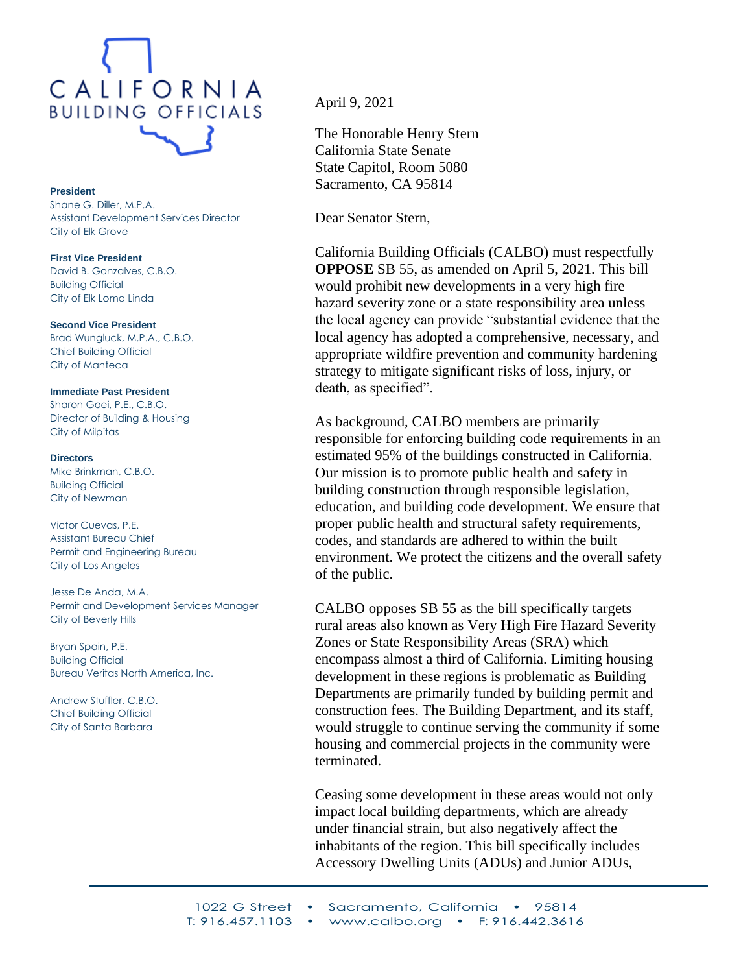

## **President**

Shane G. Diller, M.P.A. Assistant Development Services Director City of Elk Grove

**First Vice President**

David B. Gonzalves, C.B.O. Building Official City of Elk Loma Linda

**Second Vice President** Brad Wungluck, M.P.A., C.B.O. Chief Building Official City of Manteca

**Immediate Past President**

Sharon Goei, P.E., C.B.O. Director of Building & Housing City of Milpitas

## **Directors**

Mike Brinkman, C.B.O. Building Official City of Newman

Victor Cuevas, P.E. Assistant Bureau Chief Permit and Engineering Bureau City of Los Angeles

Jesse De Anda, M.A. Permit and Development Services Manager City of Beverly Hills

Bryan Spain, P.E. Building Official Bureau Veritas North America, Inc.

Andrew Stuffler, C.B.O. Chief Building Official City of Santa Barbara

April 9, 2021

The Honorable Henry Stern California State Senate State Capitol, Room 5080 Sacramento, CA 95814

Dear Senator Stern,

California Building Officials (CALBO) must respectfully **OPPOSE** SB 55, as amended on April 5, 2021. This bill would prohibit new developments in a very high fire hazard severity zone or a state responsibility area unless the local agency can provide "substantial evidence that the local agency has adopted a comprehensive, necessary, and appropriate wildfire prevention and community hardening strategy to mitigate significant risks of loss, injury, or death, as specified".

As background, CALBO members are primarily responsible for enforcing building code requirements in an estimated 95% of the buildings constructed in California. Our mission is to promote public health and safety in building construction through responsible legislation, education, and building code development. We ensure that proper public health and structural safety requirements, codes, and standards are adhered to within the built environment. We protect the citizens and the overall safety of the public.

CALBO opposes SB 55 as the bill specifically targets rural areas also known as Very High Fire Hazard Severity Zones or State Responsibility Areas (SRA) which encompass almost a third of California. Limiting housing development in these regions is problematic as Building Departments are primarily funded by building permit and construction fees. The Building Department, and its staff, would struggle to continue serving the community if some housing and commercial projects in the community were terminated.

Ceasing some development in these areas would not only impact local building departments, which are already under financial strain, but also negatively affect the inhabitants of the region. This bill specifically includes Accessory Dwelling Units (ADUs) and Junior ADUs,